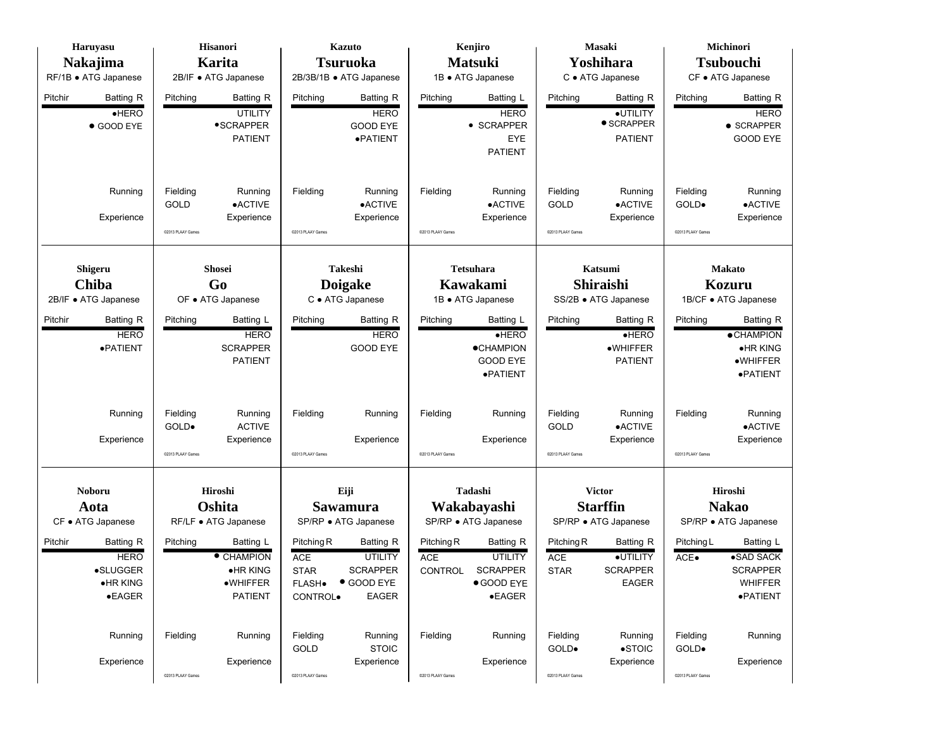| Haruyasu                                                                       | Hisanori                                                                           | <b>Kazuto</b>                                                                                                                                         | Kenjiro                                                                                                                       | Masaki                                                                                                     | Michinori                                                                                     |  |  |
|--------------------------------------------------------------------------------|------------------------------------------------------------------------------------|-------------------------------------------------------------------------------------------------------------------------------------------------------|-------------------------------------------------------------------------------------------------------------------------------|------------------------------------------------------------------------------------------------------------|-----------------------------------------------------------------------------------------------|--|--|
| <b>Nakajima</b>                                                                | <b>Karita</b>                                                                      | <b>Tsuruoka</b>                                                                                                                                       | <b>Matsuki</b>                                                                                                                | Yoshihara                                                                                                  | <b>Tsubouchi</b>                                                                              |  |  |
| RF/1B · ATG Japanese                                                           | 2B/IF • ATG Japanese                                                               | 2B/3B/1B · ATG Japanese                                                                                                                               | 1B · ATG Japanese                                                                                                             | C · ATG Japanese                                                                                           | CF • ATG Japanese                                                                             |  |  |
| Pitchir<br>Batting R<br>HERO<br>● GOOD EYE                                     | Pitching<br><b>Batting R</b><br><b>UTILITY</b><br>•SCRAPPER<br><b>PATIENT</b>      | Pitching<br><b>Batting R</b><br><b>HERO</b><br><b>GOOD EYE</b><br>·PATIENT                                                                            | Pitching<br>Batting L<br><b>HERO</b><br>• SCRAPPER<br>EYE<br><b>PATIENT</b>                                                   | Pitching<br><b>Batting R</b><br>·UTILITY<br>$\bullet$ SCRAPPER<br><b>PATIENT</b>                           | <b>Batting R</b><br>Pitching<br><b>HERO</b><br>$\bullet$ SCRAPPER<br><b>GOOD EYE</b>          |  |  |
| Running<br>Experience                                                          | Fielding<br>Running<br>$\bullet$ ACTIVE<br>GOLD<br>Experience<br>@2013 PLAAY Games | Fielding<br>Running<br>•ACTIVE<br>Experience<br>@2013 PLAAY Games                                                                                     | Fielding<br>Running<br>•ACTIVE<br>Experience<br>@2013 PLAAY Games                                                             | Fielding<br>Running<br>•ACTIVE<br>GOLD<br>Experience<br>@2013 PLAAY Games                                  | Fielding<br>Running<br>$\bullet$ ACTIVE<br>GOLD.<br>Experience<br>@2013 PLAAY Games           |  |  |
| Shigeru                                                                        | <b>Shosei</b>                                                                      | Takeshi                                                                                                                                               | <b>Tetsuhara</b>                                                                                                              | Katsumi                                                                                                    | <b>Makato</b>                                                                                 |  |  |
| Chiba                                                                          | Go                                                                                 |                                                                                                                                                       | Kawakami                                                                                                                      | Shiraishi                                                                                                  | <b>Kozuru</b>                                                                                 |  |  |
| 2B/IF • ATG Japanese                                                           | OF • ATG Japanese                                                                  | <b>Doigake</b><br>C · ATG Japanese                                                                                                                    |                                                                                                                               | SS/2B · ATG Japanese                                                                                       | 1B/CF • ATG Japanese                                                                          |  |  |
| Pitchir<br>Batting R<br><b>HERO</b><br>·PATIENT                                | Pitching<br>Batting L<br><b>HERO</b><br><b>SCRAPPER</b><br><b>PATIENT</b>          | Batting R<br>Pitching<br><b>HERO</b><br><b>GOOD EYE</b>                                                                                               | Pitching<br>Batting L<br>HERO<br><b>•CHAMPION</b><br><b>GOOD EYE</b><br>·PATIENT                                              | Batting R<br>Pitching<br>HERO<br>·WHIFFER<br><b>PATIENT</b>                                                | <b>Batting R</b><br>Pitching<br><b>•CHAMPION</b><br>•HR KING<br>$\bullet$ WHIFFER<br>·PATIENT |  |  |
| Running<br>Experience                                                          | Fielding<br>Running<br>GOLD.<br><b>ACTIVE</b><br>Experience<br>@2013 PLAAY Games   | Fielding<br>Running<br>Experience<br>@2013 PLAAY Games                                                                                                | Fielding<br>Running<br>Experience<br>@2013 PLAAY Games                                                                        | Fielding<br>Running<br><b>•ACTIVE</b><br><b>GOLD</b><br>Experience<br>@2013 PLAAY Games                    | Fielding<br>Running<br>$\bullet$ ACTIVE<br>Experience<br>C2013 PLAAY Games                    |  |  |
| Noboru<br>Aota<br>CF • ATG Japanese                                            | Hiroshi<br>Oshita<br>RF/LF · ATG Japanese                                          | Eiji<br>Sawamura<br>SP/RP · ATG Japanese                                                                                                              | Tadashi<br>Wakabayashi<br>SP/RP · ATG Japanese                                                                                | <b>Victor</b><br><b>Starffin</b><br>SP/RP · ATG Japanese                                                   | Hiroshi<br><b>Nakao</b><br>SP/RP · ATG Japanese                                               |  |  |
| Batting R<br>Pitchir<br><b>HERO</b><br>•SLUGGER<br>·HR KING<br>$\bullet$ EAGER | Pitching<br>Batting L<br>• CHAMPION<br>•HR KING<br>·WHIFFER<br><b>PATIENT</b>      | Pitching R<br>Batting R<br><b>UTILITY</b><br><b>ACE</b><br><b>SCRAPPER</b><br><b>STAR</b><br>● GOOD EYE<br><b>FLASH</b> .<br>CONTROL.<br><b>EAGER</b> | Pitching R<br><b>Batting R</b><br>ACE<br><b>UTILITY</b><br><b>CONTROL</b><br><b>SCRAPPER</b><br>● GOOD EYE<br>$\bullet$ EAGER | Pitching R<br><b>Batting R</b><br>·UTILITY<br><b>ACE</b><br><b>SCRAPPER</b><br><b>STAR</b><br><b>EAGER</b> | Batting L<br>Pitching L<br>•SAD SACK<br>ACE.<br><b>SCRAPPER</b><br><b>WHIFFER</b><br>·PATIENT |  |  |
| Running<br>Experience                                                          | Fielding<br>Running<br>Experience<br>@2013 PLAAY Games                             | Fielding<br>Running<br>GOLD<br><b>STOIC</b><br>Experience<br>@2013 PLAAY Games                                                                        | Fielding<br>Running<br>Experience<br>@2013 PLAAY Games                                                                        | Fielding<br>Running<br>$\bullet$ STOIC<br>GOLD.<br>Experience<br>@2013 PLAAY Games                         | Fielding<br>Running<br>GOLD.<br>Experience<br>@2013 PLAAY Games                               |  |  |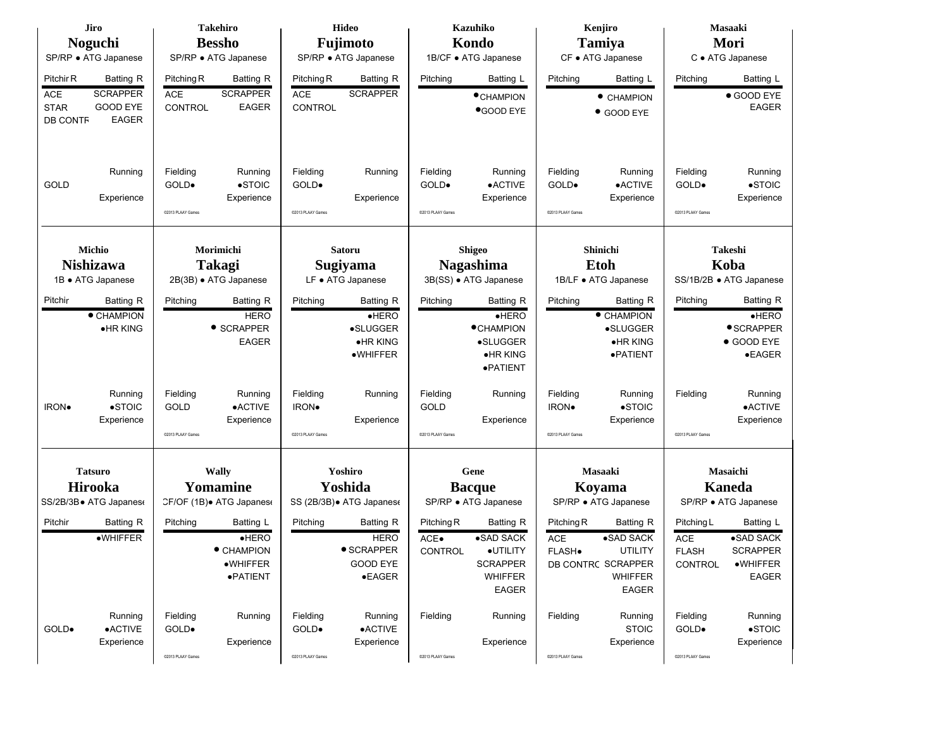| Jiro                                                                                                                         | <b>Takehiro</b>                                                                    | Hideo                                                               | <b>Kazuhiko</b>                                                            | Kenjiro                                                                    | Masaaki                                                                            |  |  |
|------------------------------------------------------------------------------------------------------------------------------|------------------------------------------------------------------------------------|---------------------------------------------------------------------|----------------------------------------------------------------------------|----------------------------------------------------------------------------|------------------------------------------------------------------------------------|--|--|
| <b>Noguchi</b>                                                                                                               | <b>Bessho</b>                                                                      | Fujimoto                                                            | Kondo                                                                      | <b>Tamiya</b>                                                              | Mori                                                                               |  |  |
| SP/RP · ATG Japanese                                                                                                         | SP/RP · ATG Japanese                                                               | SP/RP · ATG Japanese                                                | 1B/CF · ATG Japanese                                                       | CF • ATG Japanese                                                          | C · ATG Japanese                                                                   |  |  |
| Pitchir R<br>Batting R<br><b>SCRAPPER</b><br><b>ACE</b><br><b>GOOD EYE</b><br><b>STAR</b><br><b>EAGER</b><br><b>DB CONTF</b> | Pitching R<br>Batting R<br><b>SCRAPPER</b><br>ACE<br>CONTROL<br><b>EAGER</b>       | Pitching R<br>Batting R<br><b>SCRAPPER</b><br><b>ACE</b><br>CONTROL | Batting L<br>Pitching<br>$\bullet$ CHAMPION<br><b>OGOOD EYE</b>            | Batting L<br>Pitching<br>$\bullet$ CHAMPION<br>• GOOD EYE                  | Batting L<br>Pitching<br>● GOOD EYE<br><b>EAGER</b>                                |  |  |
| Running<br>GOLD<br>Experience                                                                                                | Fielding<br>Running<br>$\bullet$ STOIC<br>GOLD.<br>Experience<br>@2013 PLAAY Games | Fielding<br>Running<br>GOLD.<br>Experience<br>@2013 PLAAY Games     | Fielding<br>Running<br>GOLD.<br>•ACTIVE<br>Experience<br>@2013 PLAAY Games | Fielding<br>Running<br>GOLD.<br>•ACTIVE<br>Experience<br>@2013 PLAAY Games | Fielding<br>Running<br>$\bullet$ STOIC<br>GOLD.<br>Experience<br>@2013 PLAAY Games |  |  |
|                                                                                                                              |                                                                                    |                                                                     |                                                                            |                                                                            |                                                                                    |  |  |
| Michio                                                                                                                       | Morimichi                                                                          | Satoru                                                              | <b>Shigeo</b>                                                              | Shinichi                                                                   | Takeshi                                                                            |  |  |
| Nishizawa<br>1B · ATG Japanese                                                                                               | <b>Takagi</b><br>2B(3B) · ATG Japanese                                             | Sugiyama<br>LF • ATG Japanese                                       | <b>Nagashima</b><br>3B(SS) · ATG Japanese                                  | <b>Etoh</b><br>1B/LF • ATG Japanese                                        | Koba<br>SS/1B/2B · ATG Japanese                                                    |  |  |
|                                                                                                                              |                                                                                    |                                                                     |                                                                            |                                                                            |                                                                                    |  |  |
| Pitchir<br><b>Batting R</b>                                                                                                  | <b>Batting R</b><br>Pitching                                                       | Batting R<br>Pitching                                               | Batting R<br>Pitching                                                      | Pitching<br>Batting R                                                      | <b>Batting R</b><br>Pitching                                                       |  |  |
| • CHAMPION<br>$\bullet$ HR KING                                                                                              | <b>HERO</b><br>• SCRAPPER                                                          | HERO<br>•SLUGGER                                                    | HERO<br><b>•CHAMPION</b>                                                   | • CHAMPION<br>•SLUGGER                                                     | HERO<br>• SCRAPPER                                                                 |  |  |
|                                                                                                                              | <b>EAGER</b>                                                                       | ·HR KING                                                            | •SLUGGER                                                                   | $\bullet$ HR KING                                                          | ● GOOD EYE                                                                         |  |  |
|                                                                                                                              |                                                                                    | ·WHIFFER                                                            | •HR KING                                                                   | ·PATIENT                                                                   | •EAGER                                                                             |  |  |
|                                                                                                                              |                                                                                    |                                                                     | ·PATIENT                                                                   |                                                                            |                                                                                    |  |  |
| Running                                                                                                                      | Fielding<br>Running                                                                | Fielding<br>Running                                                 | Fielding<br>Running                                                        | Fielding<br>Running                                                        | Fielding<br>Running                                                                |  |  |
| $\bullet$ STOIC<br>IRON.                                                                                                     | $\bullet$ ACTIVE<br><b>GOLD</b>                                                    | <b>IRON</b> .                                                       | GOLD                                                                       | $\bullet$ STOIC<br>IRON.                                                   | $\bullet$ ACTIVE                                                                   |  |  |
| Experience                                                                                                                   | Experience                                                                         | Experience                                                          | Experience                                                                 | Experience                                                                 | Experience                                                                         |  |  |
|                                                                                                                              | @2013 PLAAY Games                                                                  | @2013 PLAAY Games                                                   | @2013 PLAAY Games                                                          | @2013 PLAAY Games                                                          | @2013 PLAAY Games                                                                  |  |  |
|                                                                                                                              |                                                                                    |                                                                     |                                                                            |                                                                            |                                                                                    |  |  |
| <b>Tatsuro</b>                                                                                                               | Wally                                                                              | Yoshiro                                                             | Gene                                                                       | <b>Masaaki</b>                                                             | Masaichi                                                                           |  |  |
| Hirooka                                                                                                                      | Yomamine                                                                           | Yoshida                                                             | <b>Bacque</b>                                                              | Koyama                                                                     | <b>Kaneda</b>                                                                      |  |  |
| SS/2B/3B• ATG Japanes∈                                                                                                       | CF/OF (1B) + ATG Japanes                                                           | SS (2B/3B) • ATG Japanes                                            | SP/RP · ATG Japanese                                                       | SP/RP · ATG Japanese                                                       | SP/RP · ATG Japanese                                                               |  |  |
| Pitchir<br><b>Batting R</b>                                                                                                  | Pitching<br>Batting L                                                              | Pitching<br><b>Batting R</b>                                        | Pitching R<br>Batting R                                                    | Pitching R<br><b>Batting R</b>                                             | Batting L<br>Pitching L                                                            |  |  |
| ·WHIFFER                                                                                                                     | $\bullet$ HERO                                                                     | <b>HERO</b>                                                         | •SAD SACK<br>ACE.                                                          | •SAD SACK<br><b>ACE</b>                                                    | •SAD SACK<br><b>ACE</b>                                                            |  |  |
|                                                                                                                              | • CHAMPION                                                                         | • SCRAPPER                                                          | ·UTILITY<br><b>CONTROL</b>                                                 | <b>UTILITY</b><br>FLASH.                                                   | <b>SCRAPPER</b><br><b>FLASH</b>                                                    |  |  |
|                                                                                                                              | $\bullet$ WHIFFER                                                                  | <b>GOOD EYE</b>                                                     | <b>SCRAPPER</b>                                                            | DB CONTRC SCRAPPER                                                         | ·WHIFFER<br>CONTROL                                                                |  |  |
|                                                                                                                              | ·PATIENT                                                                           | $\bullet$ EAGER                                                     | <b>WHIFFER</b><br><b>EAGER</b>                                             | <b>WHIFFER</b><br><b>EAGER</b>                                             | <b>EAGER</b>                                                                       |  |  |
|                                                                                                                              |                                                                                    |                                                                     |                                                                            |                                                                            |                                                                                    |  |  |
| Running                                                                                                                      | Fielding<br>Running                                                                | Fielding<br>Running                                                 | Fielding<br>Running                                                        | Fielding<br>Running                                                        | Fielding<br>Running                                                                |  |  |
| $\bullet$ ACTIVE<br>GOLD.                                                                                                    | GOLD.                                                                              | $\bullet$ ACTIVE<br>GOLD.                                           |                                                                            | <b>STOIC</b>                                                               | $\bullet$ STOIC<br>GOLD.                                                           |  |  |
| Experience                                                                                                                   | Experience                                                                         | Experience                                                          | Experience                                                                 | Experience                                                                 | Experience                                                                         |  |  |
|                                                                                                                              | @2013 PLAAY Games                                                                  | ©2013 PLAAY Games                                                   | @2013 PLAAY Games                                                          | @2013 PLAAY Games                                                          | @2013 PLAAY Games                                                                  |  |  |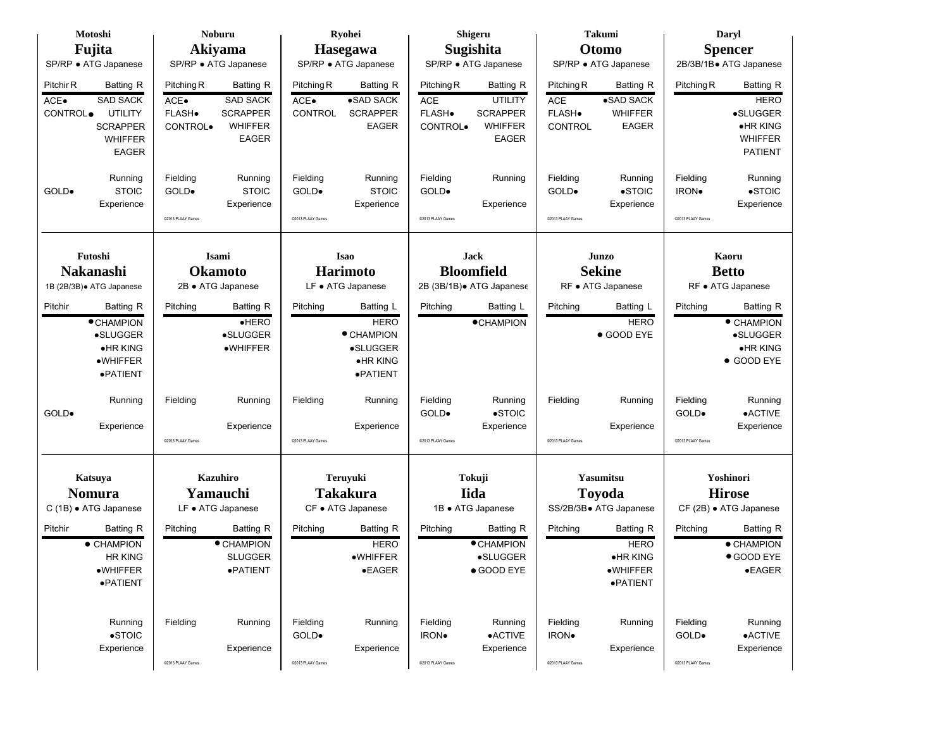| Motoshi                                                                                                                                                 | <b>Noburu</b>                                                                                                                          | Ryohei                                                                                              | Shigeru                                                                                                                            | <b>Takumi</b>                                                                                                    | Daryl                                                                                                     |
|---------------------------------------------------------------------------------------------------------------------------------------------------------|----------------------------------------------------------------------------------------------------------------------------------------|-----------------------------------------------------------------------------------------------------|------------------------------------------------------------------------------------------------------------------------------------|------------------------------------------------------------------------------------------------------------------|-----------------------------------------------------------------------------------------------------------|
| Fujita                                                                                                                                                  | Akiyama                                                                                                                                | Hasegawa                                                                                            | Sugishita                                                                                                                          | Otomo                                                                                                            | <b>Spencer</b>                                                                                            |
| SP/RP · ATG Japanese                                                                                                                                    | SP/RP · ATG Japanese                                                                                                                   | SP/RP • ATG Japanese                                                                                | SP/RP · ATG Japanese                                                                                                               | SP/RP · ATG Japanese                                                                                             | 2B/3B/1B• ATG Japanese                                                                                    |
| Pitchir R<br><b>Batting R</b><br><b>SAD SACK</b><br>ACE.<br><b>UTILITY</b><br>CONTROL <sup>.</sup><br><b>SCRAPPER</b><br><b>WHIFFER</b><br><b>EAGER</b> | Pitching R<br><b>Batting R</b><br><b>SAD SACK</b><br>$ACE-$<br><b>SCRAPPER</b><br>FLASH.<br><b>WHIFFER</b><br>CONTROL.<br><b>EAGER</b> | Pitching R<br><b>Batting R</b><br>•SAD SACK<br>$ACE-$<br>CONTROL<br><b>SCRAPPER</b><br><b>EAGER</b> | Pitching R<br>Batting R<br><b>ACE</b><br><b>UTILITY</b><br>FLASH.<br><b>SCRAPPER</b><br><b>WHIFFER</b><br>CONTROL.<br><b>EAGER</b> | Pitching R<br><b>Batting R</b><br>•SAD SACK<br>ACE<br>FLASH.<br><b>WHIFFER</b><br><b>EAGER</b><br><b>CONTROL</b> | Pitching R<br><b>Batting R</b><br><b>HERO</b><br>•SLUGGER<br>•HR KING<br><b>WHIFFER</b><br><b>PATIENT</b> |
| Running<br><b>STOIC</b><br>GOLD.<br>Experience                                                                                                          | Fielding<br>Running<br><b>STOIC</b><br>GOLD.<br>Experience<br>@2013 PLAAY Games                                                        | Fielding<br>Running<br><b>STOIC</b><br>GOLD.<br>Experience<br>@2013 PLAAY Games                     | Fielding<br>Running<br>GOLD.<br>Experience<br>@2013 PLAAY Games                                                                    | Fielding<br>Running<br>$\bullet$ STOIC<br>GOLD.<br>Experience<br>@2013 PLAAY Games                               | Fielding<br>Running<br>$\bullet$ STOIC<br><b>IRON</b> .<br>Experience<br>@2013 PLAAY Games                |
| Futoshi                                                                                                                                                 | Isami                                                                                                                                  | <b>Isao</b>                                                                                         | <b>Jack</b>                                                                                                                        | Junzo                                                                                                            | Kaoru                                                                                                     |
| Nakanashi                                                                                                                                               | <b>Okamoto</b>                                                                                                                         | <b>Harimoto</b>                                                                                     | <b>Bloomfield</b>                                                                                                                  | <b>Sekine</b>                                                                                                    | <b>Betto</b>                                                                                              |
| 1B (2B/3B) · ATG Japanese                                                                                                                               | 2B • ATG Japanese                                                                                                                      | LF • ATG Japanese                                                                                   | 2B (3B/1B). ATG Japanese                                                                                                           | RF • ATG Japanese                                                                                                | RF • ATG Japanese                                                                                         |
|                                                                                                                                                         |                                                                                                                                        |                                                                                                     |                                                                                                                                    |                                                                                                                  |                                                                                                           |
| Pitchir<br><b>Batting R</b><br><b>• CHAMPION</b><br>•SLUGGER<br>$\bullet$ HR KING<br>·WHIFFER<br>·PATIENT                                               | Pitching<br><b>Batting R</b><br>$e$ HERO<br><b>•SLUGGER</b><br>·WHIFFER                                                                | Batting L<br>Pitching<br><b>HERO</b><br>• CHAMPION<br>•SLUGGER<br>•HR KING<br>·PATIENT              | Pitching<br>Batting L<br><b>•CHAMPION</b>                                                                                          | Pitching<br>Batting L<br><b>HERO</b><br>● GOOD EYE                                                               | Pitching<br><b>Batting R</b><br>• CHAMPION<br>•SLUGGER<br>•HR KING<br>● GOOD EYE                          |
| Running<br>GOLD.<br>Experience                                                                                                                          | Fielding<br>Running<br>Experience<br>@2013 PLAAY Games                                                                                 | Fielding<br>Running<br>Experience<br>@2013 PLAAY Games                                              | Fielding<br>Running<br>$\bullet$ STOIC<br>GOLD.<br>Experience<br>@2013 PLAAY Games                                                 | Fielding<br>Running<br>Experience<br>@2013 PLAAY Games                                                           | Fielding<br>Running<br>GOLD.<br>•ACTIVE<br>Experience<br>@2013 PLAAY Games                                |
| Katsuya<br><b>Nomura</b><br>C (1B) · ATG Japanese                                                                                                       | <b>Kazuhiro</b><br>Yamauchi<br>LF • ATG Japanese                                                                                       | <b>Teruyuki</b><br><b>Takakura</b><br>CF • ATG Japanese                                             | Tokuji<br>Iida<br>1B · ATG Japanese                                                                                                | <b>Yasumitsu</b><br><b>Toyoda</b><br>SS/2B/3B · ATG Japanese                                                     | Yoshinori<br><b>Hirose</b><br>CF (2B) · ATG Japanese                                                      |
| Batting R<br>Pitchir<br>$\bullet$ CHAMPION<br><b>HR KING</b><br>$\bullet$ WHIFFER<br>·PATIENT                                                           | Pitching<br><b>Batting R</b><br>• CHAMPION<br><b>SLUGGER</b><br>·PATIENT                                                               | Pitching<br><b>Batting R</b><br><b>HERO</b><br>·WHIFFER<br>$\bullet$ EAGER                          | Pitching<br>Batting R<br>• CHAMPION<br>•SLUGGER<br>● GOOD EYE                                                                      | Batting R<br>Pitching<br><b>HERO</b><br>$\bullet$ HR KING<br>$\bullet$ WHIFFER<br>·PATIENT                       | <b>Batting R</b><br>Pitching<br>• CHAMPION<br>● GOOD EYE<br>$\bullet$ EAGER                               |
| Running<br>$\bullet$ STOIC<br>Experience                                                                                                                | Fielding<br>Running<br>Experience<br>@2013 PLAAY Games                                                                                 | Fielding<br>Running<br>GOLD.<br>Experience<br>@2013 PLAAY Games                                     | Fielding<br>Running<br>$\bullet$ ACTIVE<br>IRON.<br>Experience<br>02013 PLAAY Games                                                | Fielding<br>Running<br>IRON.<br>Experience<br>@2013 PLAAY Games                                                  | Fielding<br>Running<br>GOLD.<br>$\bullet$ ACTIVE<br>Experience<br>02013 PLAAY Games                       |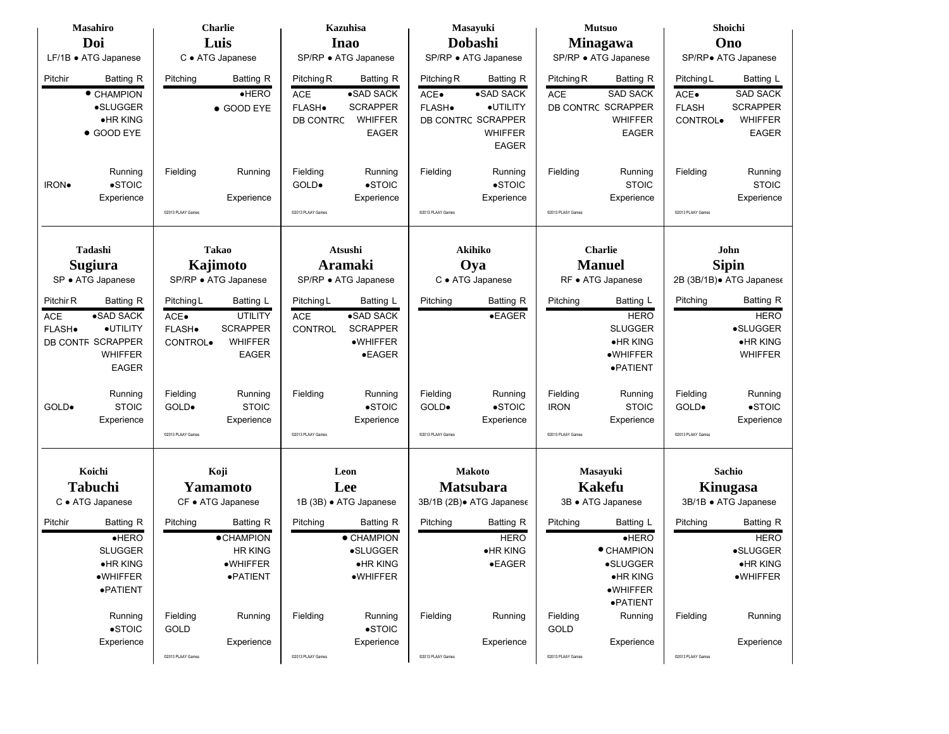|            | <b>Masahiro</b>      |                      | <b>Charlie</b>    |                   | <b>Kazuhisa</b>        |                   | Masayuki                 |                   | <b>Mutsuo</b>        |                   | Shoichi                          |  |
|------------|----------------------|----------------------|-------------------|-------------------|------------------------|-------------------|--------------------------|-------------------|----------------------|-------------------|----------------------------------|--|
|            | Doi                  |                      | Luis              |                   | <b>Inao</b>            |                   | Dobashi                  |                   | Minagawa             |                   | Ono                              |  |
|            | LF/1B · ATG Japanese |                      | C · ATG Japanese  |                   | SP/RP · ATG Japanese   |                   | SP/RP · ATG Japanese     |                   | SP/RP · ATG Japanese |                   | SP/RP• ATG Japanese              |  |
| Pitchir    | <b>Batting R</b>     | Pitching             | Batting R         | Pitching R        | Batting R              | Pitching R        | Batting R                | Pitching R        | Batting R            | Pitching L        | Batting L                        |  |
|            | • CHAMPION           |                      | $e$ HERO          | <b>ACE</b>        | •SAD SACK              | ACE•              | •SAD SACK                | ACE               | <b>SAD SACK</b>      | ACE.              | <b>SAD SACK</b>                  |  |
|            | •SLUGGER             |                      |                   | FLASH.            | <b>SCRAPPER</b>        | FLASH.            | ·UTILITY                 |                   | DB CONTRC SCRAPPER   | <b>FLASH</b>      | <b>SCRAPPER</b>                  |  |
|            | •HR KING             |                      | ● GOOD EYE        |                   | <b>WHIFFER</b>         |                   | DB CONTRC SCRAPPER       |                   | <b>WHIFFER</b>       |                   | <b>WHIFFER</b>                   |  |
|            | ● GOOD EYE           |                      |                   | DB CONTRC         | <b>EAGER</b>           |                   | <b>WHIFFER</b>           |                   | <b>EAGER</b>         | CONTROL.          | <b>EAGER</b>                     |  |
|            |                      |                      |                   |                   |                        |                   | <b>EAGER</b>             |                   |                      |                   |                                  |  |
|            |                      |                      |                   |                   |                        |                   |                          |                   |                      |                   |                                  |  |
|            | Running              | Fielding             | Running           | Fielding          | Running                | Fielding          | Running                  | Fielding          | Running              | Fielding          | Running                          |  |
| IRON.      | $\bullet$ STOIC      |                      |                   | GOLD.             | $\bullet$ STOIC        |                   | $\bullet$ STOIC          |                   | <b>STOIC</b>         |                   | <b>STOIC</b>                     |  |
|            | Experience           |                      | Experience        |                   | Experience             |                   | Experience               |                   | Experience           |                   | Experience                       |  |
|            |                      | @2013 PLAAY Games    |                   | @2013 PLAAY Games |                        | @2013 PLAAY Games |                          | @2013 PLAAY Games |                      | @2013 PLAAY Games |                                  |  |
|            |                      |                      |                   |                   |                        |                   |                          |                   |                      |                   |                                  |  |
|            | Tadashi              |                      | <b>Takao</b>      |                   | Atsushi                |                   | <b>Akihiko</b>           |                   | Charlie              |                   | John                             |  |
|            | <b>Sugiura</b>       | Kajimoto             |                   |                   | Aramaki                |                   | Oya                      |                   | <b>Manuel</b>        | <b>Sipin</b>      |                                  |  |
|            | SP · ATG Japanese    | SP/RP · ATG Japanese |                   |                   | SP/RP · ATG Japanese   |                   | C · ATG Japanese         |                   | RF • ATG Japanese    |                   | 2B (3B/1B). ATG Japanese         |  |
|            |                      |                      |                   |                   |                        |                   |                          |                   |                      |                   |                                  |  |
| Pitchir R  | Batting R            | Pitching L           | Batting L         | Pitching L        | Batting L              | Pitching          | Batting R                | Pitching          | Batting L            | Pitching          | <b>Batting R</b>                 |  |
| <b>ACE</b> | •SAD SACK            | ACE.                 | <b>UTILITY</b>    | <b>ACE</b>        | •SAD SACK              |                   | $\bullet$ EAGER          |                   | <b>HERO</b>          |                   | <b>HERO</b>                      |  |
| FLASH.     | ·UTILITY             | FLASH.               | <b>SCRAPPER</b>   | CONTROL           | <b>SCRAPPER</b>        |                   |                          |                   | <b>SLUGGER</b>       |                   | ·SLUGGER                         |  |
|            | DB CONTF SCRAPPER    | CONTROL.             | <b>WHIFFER</b>    |                   | $\bullet$ WHIFFER      |                   |                          |                   | $\bullet$ HR KING    |                   | <b>•HRKING</b>                   |  |
|            | <b>WHIFFER</b>       |                      | <b>EAGER</b>      |                   | $\bullet$ EAGER        |                   |                          |                   | ·WHIFFER             |                   | <b>WHIFFER</b>                   |  |
|            | <b>EAGER</b>         |                      |                   |                   |                        |                   |                          |                   | ·PATIENT             |                   |                                  |  |
|            | Running              | Fielding             | Running           | Fielding          | Running                | Fielding          | Running                  | Fielding          | Running              | Fielding          | Running                          |  |
| GOLD.      | <b>STOIC</b>         | GOLD.                | <b>STOIC</b>      |                   | $\bullet$ STOIC        | GOLD.             | $\bullet$ STOIC          | <b>IRON</b>       | <b>STOIC</b>         | GOLD.             | $\bullet$ STOIC                  |  |
|            | Experience           |                      | Experience        |                   | Experience             |                   | Experience               |                   | Experience           |                   | Experience                       |  |
|            |                      | C2013 PLAAY Games    |                   | @2013 PLAAY Games |                        | @2013 PLAAY Games |                          | @2013 PLAAY Games |                      | @2013 PLAAY Games |                                  |  |
|            |                      |                      |                   |                   |                        |                   |                          |                   |                      |                   |                                  |  |
|            | Koichi               |                      | Koji              |                   | Leon                   |                   | <b>Makoto</b>            |                   | Masayuki             |                   | Sachio                           |  |
|            | <b>Tabuchi</b>       |                      | Yamamoto          |                   | Lee                    |                   | <b>Matsubara</b>         |                   | <b>Kakefu</b>        |                   |                                  |  |
|            | C · ATG Japanese     |                      | CF • ATG Japanese |                   | 1B (3B) · ATG Japanese |                   | 3B/1B (2B). ATG Japanese |                   | 3B · ATG Japanese    |                   | Kinugasa<br>3B/1B · ATG Japanese |  |
| Pitchir    | <b>Batting R</b>     | Pitching             | Batting R         | Pitching          | Batting R              | Pitching          | Batting R                | Pitching          | Batting L            | Pitching          | Batting R                        |  |
|            | $e$ HERO             |                      | <b>•CHAMPION</b>  |                   | • CHAMPION             |                   | <b>HERO</b>              |                   | HERO                 |                   | <b>HERO</b>                      |  |
|            | <b>SLUGGER</b>       |                      | <b>HR KING</b>    |                   | •SLUGGER               |                   | $\bullet$ HR KING        |                   | • CHAMPION           |                   | •SLUGGER                         |  |
|            | ·HR KING             |                      | ·WHIFFER          |                   | ·HR KING               |                   | $\bullet$ EAGER          |                   | ·SLUGGER             |                   | ·HR KING                         |  |
|            | •WHIFFER             |                      | ·PATIENT          |                   | •WHIFFER               |                   |                          |                   | $\bullet$ HR KING    |                   | ·WHIFFER                         |  |
|            | ·PATIENT             |                      |                   |                   |                        |                   |                          |                   | $\bullet$ WHIFFER    |                   |                                  |  |
|            |                      |                      |                   |                   |                        |                   |                          |                   | ·PATIENT             |                   |                                  |  |
|            | Running              | Fielding             | Running           | Fielding          | Running                | Fielding          | Running                  | Fielding          | Running              | Fielding          | Running                          |  |
|            | $\bullet$ STOIC      | GOLD                 |                   |                   | $\bullet$ STOIC        |                   |                          | GOLD              |                      |                   |                                  |  |
|            | Experience           |                      | Experience        |                   | Experience             |                   | Experience               |                   | Experience           |                   | Experience                       |  |
|            |                      | @2013 PLAAY Games    |                   | @2013 PLAAY Games |                        | @2013 PLAAY Games |                          | @2013 PLAAY Games |                      | @2013 PLAAY Games |                                  |  |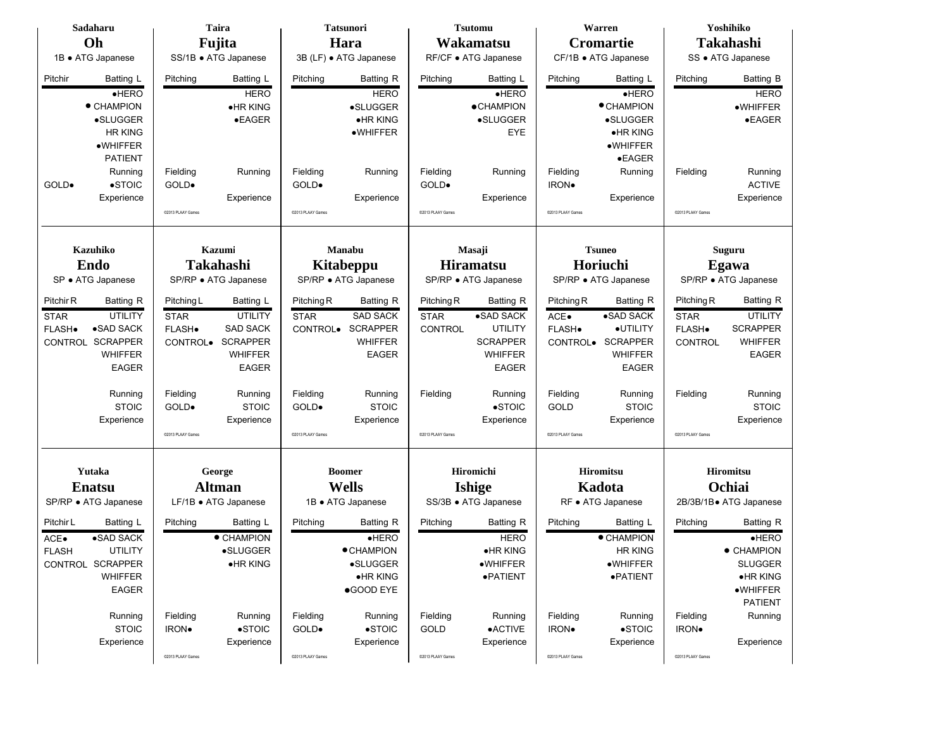|              | Sadaharu             |                   | Taira                |                   | <b>Tatsunori</b>       |                   | <b>Tsutomu</b>       |                   | Warren               |                   | Yoshihiko              |  |
|--------------|----------------------|-------------------|----------------------|-------------------|------------------------|-------------------|----------------------|-------------------|----------------------|-------------------|------------------------|--|
|              | Oh                   |                   | Fujita               |                   | Hara                   |                   | Wakamatsu            |                   | <b>Cromartie</b>     |                   | Takahashi              |  |
|              | 1B · ATG Japanese    |                   | SS/1B · ATG Japanese |                   | 3B (LF) · ATG Japanese |                   | RF/CF · ATG Japanese |                   | CF/1B · ATG Japanese |                   | SS · ATG Japanese      |  |
| Pitchir      | Batting L            | Pitching          | Batting L            | Pitching          | Batting R              | Pitching          | Batting L            | Pitching          | Batting L            | Pitching          | <b>Batting B</b>       |  |
|              | HERO                 |                   | <b>HERO</b>          |                   | <b>HERO</b>            |                   | HERO                 |                   | HERO                 |                   | <b>HERO</b>            |  |
|              | • CHAMPION           |                   | •HR KING             |                   | •SLUGGER               |                   | <b>• CHAMPION</b>    |                   | $\bullet$ CHAMPION   |                   | ·WHIFFER               |  |
|              | •SLUGGER             |                   | $\bullet$ EAGER      |                   | ·HR KING               |                   | •SLUGGER             |                   | <b>•SLUGGER</b>      |                   | $\bullet$ EAGER        |  |
|              | <b>HR KING</b>       |                   |                      |                   | ·WHIFFER               |                   | <b>EYE</b>           |                   | •HR KING             |                   |                        |  |
|              | •WHIFFER             |                   |                      |                   |                        |                   |                      |                   | •WHIFFER             |                   |                        |  |
|              | <b>PATIENT</b>       |                   |                      |                   |                        |                   |                      |                   | $\bullet$ EAGER      |                   |                        |  |
|              | Running              | Fielding          | Running              | Fielding          | Running                | Fielding          | Running              | Fielding          | Running              | Fielding          | Running                |  |
| GOLD.        | $\bullet$ STOIC      | GOLD.             |                      | GOLD.             |                        | GOLD.             |                      | IRON.             |                      |                   | <b>ACTIVE</b>          |  |
|              | Experience           |                   | Experience           |                   | Experience             |                   | Experience           |                   | Experience           |                   | Experience             |  |
|              |                      | @2013 PLAAY Games |                      | @2013 PLAAY Games |                        | @2013 PLAAY Games |                      | @2013 PLAAY Games |                      | @2013 PLAAY Games |                        |  |
|              |                      |                   |                      |                   |                        |                   |                      |                   |                      |                   |                        |  |
|              | <b>Kazuhiko</b>      |                   | Kazumi               |                   | Manabu                 |                   | Masaji               |                   | <b>Tsuneo</b>        |                   | Suguru                 |  |
|              | <b>Endo</b>          |                   | <b>Takahashi</b>     | <b>Kitabeppu</b>  |                        | <b>Hiramatsu</b>  |                      |                   | Horiuchi             | Egawa             |                        |  |
|              | SP · ATG Japanese    |                   | SP/RP · ATG Japanese |                   | SP/RP · ATG Japanese   |                   | SP/RP · ATG Japanese |                   | SP/RP · ATG Japanese |                   | SP/RP · ATG Japanese   |  |
| Pitchir R    | Batting R            | Pitching L        | Batting L            | Pitching R        | <b>Batting R</b>       | Pitching R        | Batting R            | Pitching R        | Batting R            | Pitching R        | <b>Batting R</b>       |  |
| <b>STAR</b>  | <b>UTILITY</b>       | <b>STAR</b>       | <b>UTILITY</b>       | <b>STAR</b>       | <b>SAD SACK</b>        | <b>STAR</b>       | •SAD SACK            | ACE.              | •SAD SACK            | <b>STAR</b>       | <b>UTILITY</b>         |  |
| FLASH.       | $\bullet$ SAD SACK   | FLASH.            | SAD SACK             | CONTROL.          | <b>SCRAPPER</b>        | <b>CONTROL</b>    | <b>UTILITY</b>       | FLASH.            | ·UTILITY             | FLASH.            | <b>SCRAPPER</b>        |  |
|              | CONTROL SCRAPPER     | CONTROL.          | <b>SCRAPPER</b>      |                   | <b>WHIFFER</b>         |                   | <b>SCRAPPER</b>      |                   | CONTROL. SCRAPPER    | <b>CONTROL</b>    | <b>WHIFFER</b>         |  |
|              | <b>WHIFFER</b>       |                   | <b>WHIFFER</b>       |                   | <b>EAGER</b>           |                   | <b>WHIFFER</b>       |                   | <b>WHIFFER</b>       |                   | <b>EAGER</b>           |  |
|              | <b>EAGER</b>         |                   | <b>EAGER</b>         |                   |                        |                   | <b>EAGER</b>         |                   | <b>EAGER</b>         |                   |                        |  |
|              | Running              | Fielding          | Running              | Fielding          | Running                | Fielding          | Running              | Fielding          | Running              | Fielding          | Running                |  |
|              | <b>STOIC</b>         | GOLD.             | <b>STOIC</b>         | GOLD.             | <b>STOIC</b>           |                   | $\bullet$ STOIC      | GOLD              | <b>STOIC</b>         |                   | <b>STOIC</b>           |  |
|              | Experience           |                   | Experience           |                   | Experience             |                   | Experience           |                   | Experience           |                   | Experience             |  |
|              |                      | @2013 PLAAY Games |                      | @2013 PLAAY Games |                        | @2013 PLAAY Games |                      | @2013 PLAAY Games |                      | @2013 PLAAY Games |                        |  |
|              |                      |                   |                      |                   |                        |                   |                      |                   |                      |                   |                        |  |
|              | Yutaka               |                   | George               |                   | <b>Boomer</b>          |                   | Hiromichi            |                   | <b>Hiromitsu</b>     |                   | Hiromitsu              |  |
|              | <b>Enatsu</b>        |                   | <b>Altman</b>        |                   | <b>Wells</b>           |                   | <b>Ishige</b>        |                   | Kadota               |                   | Ochiai                 |  |
|              | SP/RP · ATG Japanese |                   | LF/1B · ATG Japanese |                   | 1B • ATG Japanese      |                   | SS/3B · ATG Japanese |                   | RF • ATG Japanese    |                   | 2B/3B/1B• ATG Japanese |  |
| Pitchir L    | Batting L            | Pitching          | Batting L            | Pitching          | Batting R              | Pitching          | Batting R            | Pitching          | Batting L            | Pitching          | Batting R              |  |
| ACE.         | •SAD SACK            |                   | • CHAMPION           |                   | HERO                   |                   | <b>HERO</b>          |                   | • CHAMPION           |                   | HERO                   |  |
| <b>FLASH</b> | <b>UTILITY</b>       |                   | •SLUGGER             |                   | • CHAMPION             |                   | •HR KING             |                   | <b>HR KING</b>       |                   | $\bullet$ CHAMPION     |  |
|              | CONTROL SCRAPPER     |                   | •HR KING             |                   | ·SLUGGER               |                   | $\bullet$ WHIFFER    |                   | ·WHIFFER             |                   | <b>SLUGGER</b>         |  |
|              | <b>WHIFFER</b>       |                   |                      |                   | •HR KING               |                   | ·PATIENT             |                   | ·PATIENT             |                   | $\bullet$ HR KING      |  |
|              | EAGER                |                   |                      |                   | ●GOOD EYE              |                   |                      |                   |                      |                   | $\bullet$ WHIFFER      |  |
|              |                      |                   |                      |                   |                        |                   |                      |                   |                      |                   | <b>PATIENT</b>         |  |
|              | Running              | Fielding          | Running              | Fielding          | Running                | Fielding          | Running              | Fielding          | Running              | Fielding          | Running                |  |
|              | <b>STOIC</b>         | IRON.             | $\bullet$ STOIC      | GOLD.             | $\bullet$ STOIC        | GOLD              | <b>•ACTIVE</b>       | IRON.             | $\bullet$ STOIC      | IRON.             |                        |  |
|              | Experience           |                   | Experience           |                   | Experience             |                   | Experience           |                   | Experience           |                   | Experience             |  |
|              |                      | @2013 PLAAY Games |                      | @2013 PLAAY Games |                        | @2013 PLAAY Games |                      | @2013 PLAAY Games |                      | @2013 PLAAY Games |                        |  |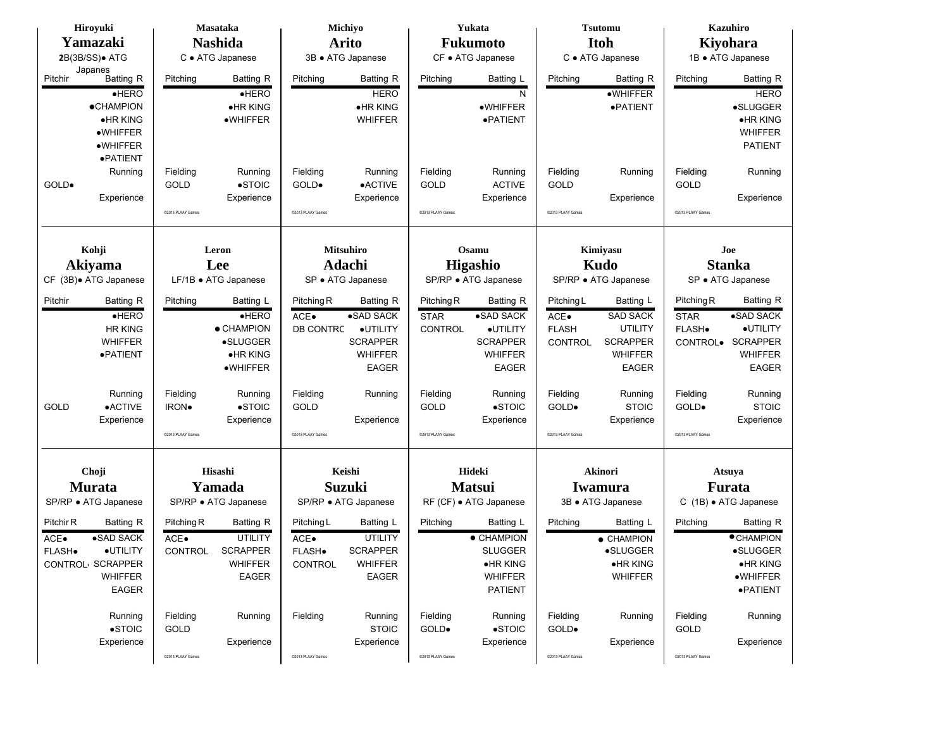|           | Hiroyuki               |                   | Masataka             |                   | Michiyo              |                   | Yukata                        |                      | <b>Tsutomu</b>     |                   | <b>Kazuhiro</b>                  |  |                   |
|-----------|------------------------|-------------------|----------------------|-------------------|----------------------|-------------------|-------------------------------|----------------------|--------------------|-------------------|----------------------------------|--|-------------------|
|           | Yamazaki               |                   | <b>Nashida</b>       |                   | <b>Arito</b>         |                   | Fukumoto                      |                      | <b>Itoh</b>        |                   | Kiyohara                         |  |                   |
|           | 2B(3B/SS). ATG         |                   | C · ATG Japanese     |                   | 3B · ATG Japanese    |                   | CF • ATG Japanese             |                      | C · ATG Japanese   |                   | 1B · ATG Japanese                |  |                   |
|           | Japanes                |                   |                      |                   |                      |                   |                               |                      |                    |                   |                                  |  |                   |
| Pitchir   | Batting R              | Pitching          | Batting R            | Pitching          | Batting R            | Pitching          | Batting L                     | Pitching             | Batting R          | Pitching          | <b>Batting R</b>                 |  |                   |
|           | $e$ HERO               |                   | $e$ HERO             |                   | <b>HERO</b>          |                   | N                             |                      | $\bullet$ WHIFFER  |                   | <b>HERO</b>                      |  |                   |
|           | <b>•CHAMPION</b>       |                   | •HR KING             |                   | •HR KING             |                   | •WHIFFER                      |                      | ·PATIENT           |                   | •SLUGGER                         |  |                   |
|           | •HR KING               |                   | ·WHIFFER             |                   | WHIFFER              |                   | ·PATIENT                      |                      |                    |                   | ·HR KING                         |  |                   |
|           | ·WHIFFER               |                   |                      |                   |                      |                   |                               |                      |                    |                   | <b>WHIFFER</b><br><b>PATIENT</b> |  |                   |
|           | •WHIFFER<br>·PATIENT   |                   |                      |                   |                      |                   |                               |                      |                    |                   |                                  |  |                   |
|           | Running                | Fielding          | Running              | Fielding          | Running              | Fielding          | Running                       | Fielding             | Running            | Fielding          | Running                          |  |                   |
| GOLD.     |                        | <b>GOLD</b>       | $\bullet$ STOIC      | GOLD.             | <b>•ACTIVE</b>       | GOLD              | <b>ACTIVE</b>                 | <b>GOLD</b>          |                    | GOLD              |                                  |  |                   |
|           | Experience             |                   | Experience           |                   | Experience           |                   | Experience                    |                      | Experience         |                   | Experience                       |  |                   |
|           |                        | @2013 PLAAY Games |                      | @2013 PLAAY Games |                      | @2013 PLAAY Games |                               | @2013 PLAAY Games    |                    | @2013 PLAAY Games |                                  |  |                   |
|           |                        |                   |                      |                   |                      |                   |                               |                      |                    |                   |                                  |  |                   |
|           |                        |                   |                      |                   |                      |                   |                               |                      |                    |                   |                                  |  |                   |
|           | Kohji                  |                   | Leron                |                   | <b>Mitsuhiro</b>     | Osamu             |                               |                      | Kimiyasu           | Joe               |                                  |  |                   |
|           | <b>Akiyama</b>         |                   | Lee                  |                   | Adachi               |                   | <b>Higashio</b>               |                      | Kudo               | <b>Stanka</b>     |                                  |  |                   |
|           | CF (3B) + ATG Japanese |                   | LF/1B · ATG Japanese |                   | SP · ATG Japanese    |                   | SP/RP · ATG Japanese          | SP/RP · ATG Japanese |                    |                   |                                  |  | SP · ATG Japanese |
| Pitchir   | Batting R              | Pitching          | Batting L            | Pitching R        | <b>Batting R</b>     | Pitching R        | Batting R                     | Pitching L           | Batting L          | Pitching R        | Batting R                        |  |                   |
|           | $e$ HERO               |                   | $e$ HERO             | ACE.              | •SAD SACK            | <b>STAR</b>       | $\overline{\bullet}$ SAD SACK | ACE.                 | <b>SAD SACK</b>    | <b>STAR</b>       | •SAD SACK                        |  |                   |
|           | <b>HR KING</b>         |                   | • CHAMPION           | DB CONTRC         | ·UTILITY             | <b>CONTROL</b>    | ·UTILITY                      | <b>FLASH</b>         | <b>UTILITY</b>     | FLASH.            | ·UTILITY                         |  |                   |
|           | <b>WHIFFER</b>         |                   | •SLUGGER             |                   | <b>SCRAPPER</b>      |                   | <b>SCRAPPER</b>               | <b>CONTROL</b>       | <b>SCRAPPER</b>    | CONTROL.          | <b>SCRAPPER</b>                  |  |                   |
|           | ·PATIENT               |                   | •HR KING             |                   | <b>WHIFFER</b>       |                   | <b>WHIFFER</b>                |                      | <b>WHIFFER</b>     |                   | <b>WHIFFER</b>                   |  |                   |
|           |                        |                   | $\bullet$ WHIFFER    |                   | <b>EAGER</b>         |                   | <b>EAGER</b>                  |                      | <b>EAGER</b>       |                   | <b>EAGER</b>                     |  |                   |
|           | Running                | Fielding          | Running              | Fielding          | Running              | Fielding          | Running                       | Fielding             | Running            | Fielding          | Running                          |  |                   |
| GOLD      | •ACTIVE                | <b>IRON</b> .     | $\bullet$ STOIC      | GOLD              |                      | GOLD              | $\bullet$ STOIC               | GOLD.                | <b>STOIC</b>       | GOLD.             | <b>STOIC</b>                     |  |                   |
|           | Experience             |                   | Experience           |                   | Experience           |                   | Experience                    |                      | Experience         |                   | Experience                       |  |                   |
|           |                        | @2013 PLAAY Games |                      | @2013 PLAAY Games |                      | @2013 PLAAY Games |                               | @2013 PLAAY Games    |                    | @2013 PLAAY Games |                                  |  |                   |
|           |                        |                   |                      |                   |                      |                   |                               |                      |                    |                   |                                  |  |                   |
|           |                        |                   | Hisashi              |                   | Keishi               |                   | Hideki                        |                      |                    |                   |                                  |  |                   |
|           | Choji                  |                   |                      |                   |                      |                   |                               |                      | Akinori            |                   | Atsuya                           |  |                   |
|           | <b>Murata</b>          |                   | Yamada               |                   | <b>Suzuki</b>        |                   | <b>Matsui</b>                 |                      | Iwamura            |                   | <b>Furata</b>                    |  |                   |
|           | SP/RP · ATG Japanese   |                   | SP/RP · ATG Japanese |                   | SP/RP • ATG Japanese |                   | RF (CF) · ATG Japanese        |                      | 3B · ATG Japanese  |                   | C (1B) · ATG Japanese            |  |                   |
| Pitchir R | Batting R              | Pitching R        | Batting R            | Pitching L        | Batting L            | Pitching          | Batting L                     | Pitching             | Batting L          | Pitching          | Batting R                        |  |                   |
| ACE.      | •SAD SACK              | ACE.              | <b>UTILITY</b>       | ACE•              | <b>UTILITY</b>       |                   | • CHAMPION                    |                      | $\bullet$ CHAMPION |                   | <b>CHAMPION</b>                  |  |                   |
| FLASH.    | ·UTILITY               | <b>CONTROL</b>    | <b>SCRAPPER</b>      | FLASH.            | <b>SCRAPPER</b>      |                   | <b>SLUGGER</b>                |                      | •SLUGGER           |                   | •SLUGGER                         |  |                   |
|           | CONTROL SCRAPPER       |                   | <b>WHIFFER</b>       | CONTROL           | <b>WHIFFER</b>       |                   | $\bullet$ HR KING             |                      | ·HR KING           |                   | ·HR KING                         |  |                   |
|           | <b>WHIFFER</b>         |                   | EAGER                |                   | <b>EAGER</b>         |                   | <b>WHIFFER</b>                |                      | <b>WHIFFER</b>     |                   | ·WHIFFER                         |  |                   |
|           | EAGER                  |                   |                      |                   |                      |                   | PATIENT                       |                      |                    |                   | ·PATIENT                         |  |                   |
|           | Running                | Fielding          | Running              | Fielding          | Running              | Fielding          | Running                       | Fielding             | Running            | Fielding          | Running                          |  |                   |
|           | $\bullet$ STOIC        | GOLD              |                      |                   | <b>STOIC</b>         | GOLD.             | $\bullet$ STOIC               | GOLD.                |                    | GOLD              |                                  |  |                   |
|           | Experience             |                   | Experience           |                   | Experience           |                   | Experience                    |                      | Experience         |                   | Experience                       |  |                   |
|           |                        | @2013 PLAAY Games |                      | @2013 PLAAY Games |                      | @2013 PLAAY Games |                               | @2013 PLAAY Games    |                    | @2013 PLAAY Games |                                  |  |                   |
|           |                        |                   |                      |                   |                      |                   |                               |                      |                    |                   |                                  |  |                   |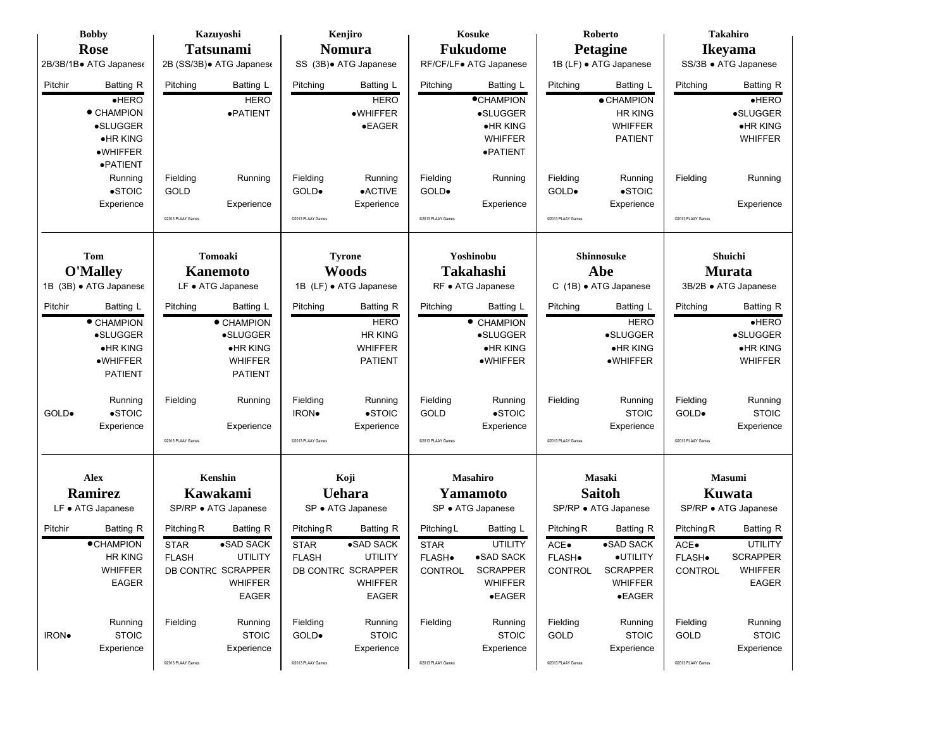| <b>Bobby</b>             | Kazuyoshi                 | Kenjiro                        | Kosuke                        | <b>Roberto</b>             | <b>Takahiro</b>                |
|--------------------------|---------------------------|--------------------------------|-------------------------------|----------------------------|--------------------------------|
| <b>Rose</b>              | <b>Tatsunami</b>          | <b>Nomura</b>                  | <b>Fukudome</b>               | <b>Petagine</b>            | <b>Ikeyama</b>                 |
| 2B/3B/1B• ATG Japanes€   | 2B (SS/3B) · ATG Japanese | SS (3B) · ATG Japanese         | RF/CF/LF● ATG Japanese        | 1B (LF) · ATG Japanese     | SS/3B · ATG Japanese           |
| Pitchir<br>Batting R     | Pitching<br>Batting L     | Batting L<br>Pitching          | Batting L<br>Pitching         | Pitching<br>Batting L      | Pitching<br><b>Batting R</b>   |
| HERO                     | <b>HERO</b>               | <b>HERO</b>                    | <b>CHAMPION</b>               | • CHAMPION                 | HERO                           |
| • CHAMPION               | ·PATIENT                  | $\bullet$ WHIFFER              | •SLUGGER                      | <b>HR KING</b>             | •SLUGGER                       |
| •SLUGGER                 |                           | $\bullet$ EAGER                | •HR KING                      | <b>WHIFFER</b>             | •HR KING                       |
| $\bullet$ HR KING        |                           |                                | <b>WHIFFER</b>                | <b>PATIENT</b>             | WHIFFER                        |
| ·WHIFFER<br>·PATIENT     |                           |                                | ·PATIENT                      |                            |                                |
| Running                  | Fielding<br>Running       | Fielding<br>Running            | Fielding<br>Running           | Fielding<br>Running        | Fielding<br>Running            |
| $\bullet$ STOIC          | GOLD                      | GOLD.<br>•ACTIVE               | GOLD.                         | $\bullet$ STOIC<br>GOLD.   |                                |
| Experience               | Experience                | Experience                     | Experience                    | Experience                 | Experience                     |
|                          | @2013 PLAAY Games         | @2013 PLAAY Games              | @2013 PLAAY Games             | @2013 PLAAY Games          | @2013 PLAAY Games              |
|                          |                           |                                |                               |                            |                                |
| Tom                      | <b>Tomoaki</b>            | <b>Tyrone</b>                  | Yoshinobu                     | Shinnosuke                 | Shuichi                        |
| <b>O'Malley</b>          | <b>Kanemoto</b>           | <b>Woods</b>                   | Takahashi                     | Abe                        | <b>Murata</b>                  |
| 1B (3B) · ATG Japanese   | LF • ATG Japanese         | 1B (LF) · ATG Japanese         | RF • ATG Japanese             | C (1B) · ATG Japanese      | 3B/2B · ATG Japanese           |
| Pitchir<br>Batting L     | Batting L<br>Pitching     | Pitching<br><b>Batting R</b>   | Pitching<br>Batting L         | Batting L<br>Pitching      | Batting R<br>Pitching          |
| • CHAMPION               | • CHAMPION                | <b>HERO</b>                    | • CHAMPION                    | <b>HERO</b>                | HERO                           |
| •SLUGGER                 | •SLUGGER                  | <b>HR KING</b>                 | ·SLUGGER                      | •SLUGGER                   | ·SLUGGER                       |
| $\bullet$ HR KING        | $\bullet$ HR KING         | <b>WHIFFER</b>                 | <b>•HRKING</b>                | ·HR KING                   | $\bullet$ HR KING              |
| •WHIFFER                 | <b>WHIFFER</b>            | <b>PATIENT</b>                 | ·WHIFFER                      | ·WHIFFER                   | <b>WHIFFER</b>                 |
| <b>PATIENT</b>           | <b>PATIENT</b>            |                                |                               |                            |                                |
| Running                  | Fielding<br>Running       | Fielding<br>Running            | Fielding<br>Running           | Fielding<br>Running        | Fielding<br>Running            |
| $\bullet$ STOIC<br>GOLD. |                           | $\bullet$ STOIC<br>IRON.       | GOLD<br>$\bullet$ STOIC       | <b>STOIC</b>               | <b>STOIC</b><br>GOLD.          |
| Experience               | Experience                | Experience                     | Experience                    | Experience                 | Experience                     |
|                          | @2013 PLAAY Games         | @2013 PLAAY Games              | @2013 PLAAY Games             | @2013 PLAAY Games          | @2013 PLAAY Games              |
|                          |                           |                                |                               |                            |                                |
| <b>Alex</b>              | Kenshin                   | Koji                           | <b>Masahiro</b>               | Masaki                     | Masumi                         |
| Ramirez                  | Kawakami                  | <b>Uehara</b>                  | Yamamoto                      | <b>Saitoh</b>              | Kuwata                         |
| LF • ATG Japanese        | SP/RP · ATG Japanese      | SP · ATG Japanese              | SP · ATG Japanese             | SP/RP · ATG Japanese       | SP/RP · ATG Japanese           |
| Pitchir<br>Batting R     | Pitching R<br>Batting R   | Pitching R<br><b>Batting R</b> | Batting L<br>Pitching L       | Pitching R<br>Batting R    | Pitching R<br><b>Batting R</b> |
| <b>•CHAMPION</b>         | ·SAD SACK<br><b>STAR</b>  | ·SAD SACK<br><b>STAR</b>       | <b>STAR</b><br><b>UTILITY</b> | ·SAD SACK<br>ACE.          | <b>UTILITY</b><br>ACE.         |
| <b>HR KING</b>           | UTILITY<br><b>FLASH</b>   | <b>UTILITY</b><br><b>FLASH</b> | •SAD SACK<br>FLASH.           | ·UTILITY<br>FLASH.         | <b>SCRAPPER</b><br>FLASH.      |
| WHIFFER                  | DB CONTRC SCRAPPER        | DB CONTRC SCRAPPER             | <b>SCRAPPER</b><br>CONTROL    | <b>SCRAPPER</b><br>CONTROL | WHIFFER<br>CONTROL             |
| <b>EAGER</b>             | <b>WHIFFER</b>            | <b>WHIFFER</b>                 | <b>WHIFFER</b>                | <b>WHIFFER</b>             | <b>EAGER</b>                   |
|                          | <b>EAGER</b>              | <b>EAGER</b>                   | $\bullet$ EAGER               | $\bullet$ EAGER            |                                |
| Running                  | Fielding<br>Running       | Fielding<br>Running            | Fielding<br>Running           | Fielding<br>Running        | Fielding<br>Running            |
| IRON.<br><b>STOIC</b>    | <b>STOIC</b>              | <b>STOIC</b><br>GOLD.          | <b>STOIC</b>                  | <b>STOIC</b><br>GOLD       | <b>STOIC</b><br>GOLD           |
| Experience               | Experience                | Experience                     | Experience                    | Experience                 | Experience                     |
|                          | @2013 PLAAY Games         | @2013 PLAAY Games              | @2013 PLAAY Games             | @2013 PLAAY Games          | 02013 PLAAY Games              |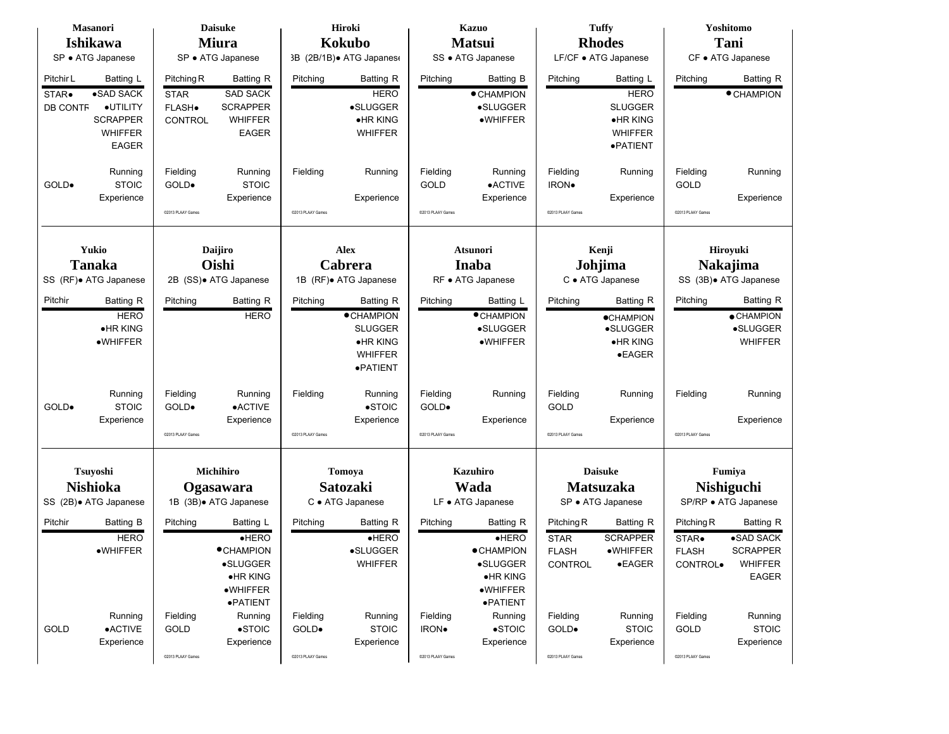|                          | <b>Masanori</b>        |                       | <b>Daisuke</b>         |                   | Hiroki                   |                   | <b>Kazuo</b>           |                       | <b>Tuffy</b>         |                             | Yoshitomo              |  |
|--------------------------|------------------------|-----------------------|------------------------|-------------------|--------------------------|-------------------|------------------------|-----------------------|----------------------|-----------------------------|------------------------|--|
|                          | <b>Ishikawa</b>        |                       | <b>Miura</b>           |                   | <b>Kokubo</b>            |                   | <b>Matsui</b>          |                       | <b>Rhodes</b>        |                             | Tani                   |  |
|                          | SP · ATG Japanese      |                       | SP • ATG Japanese      |                   | 3B (2B/1B) • ATG Japanes |                   | SS · ATG Japanese      |                       | LF/CF • ATG Japanese |                             | CF • ATG Japanese      |  |
| Pitchir L                | Batting L              | Pitching R            | <b>Batting R</b>       | Pitching          | <b>Batting R</b>         | Pitching          | <b>Batting B</b>       | Pitching              | Batting L            | Pitching                    | Batting R              |  |
|                          | •SAD SACK              |                       | <b>SAD SACK</b>        |                   | <b>HERO</b>              |                   |                        |                       | <b>HERO</b>          |                             | <b>CHAMPION</b>        |  |
| STAR.<br><b>DB CONTF</b> | ·UTILITY               | <b>STAR</b><br>FLASH. | <b>SCRAPPER</b>        |                   | •SLUGGER                 |                   | ● CHAMPION<br>•SLUGGER |                       | <b>SLUGGER</b>       |                             |                        |  |
|                          | <b>SCRAPPER</b>        | CONTROL               | <b>WHIFFER</b>         |                   | •HR KING                 |                   | •WHIFFER               |                       | •HR KING             |                             |                        |  |
|                          | <b>WHIFFER</b>         |                       | <b>EAGER</b>           |                   | <b>WHIFFER</b>           |                   |                        |                       | <b>WHIFFER</b>       |                             |                        |  |
|                          | <b>EAGER</b>           |                       |                        |                   |                          |                   |                        |                       | ·PATIENT             |                             |                        |  |
|                          |                        |                       |                        |                   |                          |                   |                        |                       |                      |                             |                        |  |
|                          | Running                | Fielding              | Running                | Fielding          | Running                  | Fielding          | Running                | Fielding              | Running              | Fielding                    | Running                |  |
| GOLD.                    | <b>STOIC</b>           | GOLD.                 | <b>STOIC</b>           |                   |                          | <b>GOLD</b>       | •ACTIVE                | IRON.                 |                      | <b>GOLD</b>                 |                        |  |
|                          | Experience             |                       | Experience             |                   | Experience               |                   | Experience             |                       | Experience           |                             | Experience             |  |
|                          |                        | @2013 PLAAY Games     |                        | @2013 PLAAY Games |                          | @2013 PLAAY Games |                        | @2013 PLAAY Games     |                      | @2013 PLAAY Games           |                        |  |
|                          |                        |                       |                        |                   |                          |                   |                        |                       |                      |                             |                        |  |
|                          | Yukio                  |                       |                        |                   |                          |                   |                        |                       |                      |                             |                        |  |
|                          |                        |                       | Daijiro                |                   | <b>Alex</b>              |                   | <b>Atsunori</b>        |                       | Kenji                | Hiroyuki<br><b>Nakajima</b> |                        |  |
|                          | <b>Tanaka</b>          |                       | Oishi                  |                   | Cabrera                  |                   | Inaba                  |                       | Johjima              |                             |                        |  |
|                          | SS (RF). ATG Japanese  |                       | 2B (SS). ATG Japanese  |                   | 1B (RF) + ATG Japanese   |                   | RF · ATG Japanese      |                       | C · ATG Japanese     |                             | SS (3B) • ATG Japanese |  |
| Pitchir                  | <b>Batting R</b>       | Pitching              | <b>Batting R</b>       | Pitching          | <b>Batting R</b>         | Pitching          | Batting L              | Pitching              | <b>Batting R</b>     | Pitching                    | Batting R              |  |
|                          | <b>HERO</b>            |                       | <b>HERO</b>            |                   | <b>•CHAMPION</b>         |                   | <b>CHAMPION</b>        |                       | <b>OCHAMPION</b>     |                             | $\bullet$ CHAMPION     |  |
|                          | $\bullet$ HR KING      |                       |                        |                   | <b>SLUGGER</b>           |                   | •SLUGGER               |                       | •SLUGGER             |                             | •SLUGGER               |  |
|                          | •WHIFFER               |                       |                        |                   | $\bullet$ HR KING        |                   | ·WHIFFER               |                       | ·HR KING             |                             | <b>WHIFFER</b>         |  |
|                          |                        |                       |                        |                   | <b>WHIFFER</b>           |                   |                        |                       | $\bullet$ EAGER      |                             |                        |  |
|                          |                        |                       |                        |                   | ·PATIENT                 |                   |                        |                       |                      |                             |                        |  |
|                          |                        |                       |                        |                   |                          |                   |                        |                       |                      |                             |                        |  |
|                          | Running                | Fielding              | Running                | Fielding          | Running                  | Fielding          | Running                | Fielding              | Running              | Fielding                    | Running                |  |
| GOLD.                    | <b>STOIC</b>           | GOLD.                 | $\bullet$ ACTIVE       |                   | $\bullet$ STOIC          | GOLD.             |                        | <b>GOLD</b>           |                      |                             |                        |  |
|                          | Experience             |                       | Experience             |                   | Experience               | @2013 PLAAY Games | Experience             | @2013 PLAAY Games     | Experience           |                             | Experience             |  |
|                          |                        | @2013 PLAAY Games     |                        | @2013 PLAAY Games |                          |                   |                        |                       |                      | @2013 PLAAY Games           |                        |  |
|                          |                        |                       |                        |                   |                          |                   |                        |                       |                      |                             |                        |  |
|                          | Tsuyoshi               |                       | Michihiro              |                   | Tomoya                   |                   | <b>Kazuhiro</b>        |                       | <b>Daisuke</b>       |                             | Fumiya                 |  |
|                          | <b>Nishioka</b>        |                       | Ogasawara              |                   | Satozaki                 |                   | Wada                   |                       | <b>Matsuzaka</b>     |                             | <b>Nishiguchi</b>      |  |
|                          | SS (2B) • ATG Japanese |                       | 1B (3B) + ATG Japanese |                   | C · ATG Japanese         |                   | LF • ATG Japanese      |                       | SP · ATG Japanese    |                             | SP/RP · ATG Japanese   |  |
| Pitchir                  | Batting B              | Pitching              | Batting L              | Pitching          | <b>Batting R</b>         | Pitching          | <b>Batting R</b>       | Pitching <sub>R</sub> | <b>Batting R</b>     | Pitching R                  | <b>Batting R</b>       |  |
|                          | <b>HERO</b>            |                       | HERO                   |                   | HERO                     |                   | HERO                   | <b>STAR</b>           | <b>SCRAPPER</b>      | STAR.                       | •SAD SACK              |  |
|                          | ·WHIFFER               |                       | <b>•CHAMPION</b>       |                   | <b>•SLUGGER</b>          |                   | <b>• CHAMPION</b>      | <b>FLASH</b>          | ·WHIFFER             | <b>FLASH</b>                | <b>SCRAPPER</b>        |  |
|                          |                        |                       | ·SLUGGER               |                   | <b>WHIFFER</b>           |                   | ·SLUGGER               | CONTROL               | $\bullet$ EAGER      | CONTROL.                    | <b>WHIFFER</b>         |  |
|                          |                        |                       | $\bullet$ HR KING      |                   |                          |                   | $\bullet$ HR KING      |                       |                      |                             | <b>EAGER</b>           |  |
|                          |                        |                       | $\bullet$ WHIFFER      |                   |                          |                   | $\bullet$ WHIFFER      |                       |                      |                             |                        |  |
|                          |                        |                       | ·PATIENT               |                   |                          |                   | ·PATIENT               |                       |                      |                             |                        |  |
|                          | Running                | Fielding              | Running                | Fielding          | Running                  | Fielding          | Running                | Fielding              | Running              | Fielding                    | Running                |  |
| GOLD                     | $\bullet$ ACTIVE       | GOLD                  | $\bullet$ STOIC        | GOLD.             | <b>STOIC</b>             | IRON.             | $\bullet$ STOIC        | GOLD.                 | <b>STOIC</b>         | GOLD                        | <b>STOIC</b>           |  |
|                          | Experience             |                       | Experience             |                   | Experience               |                   | Experience             |                       | Experience           |                             | Experience             |  |
|                          |                        | @2013 PLAAY Games     |                        | ©2013 PLAAY Games |                          | @2013 PLAAY Games |                        | @2013 PLAAY Games     |                      | @2013 PLAAY Games           |                        |  |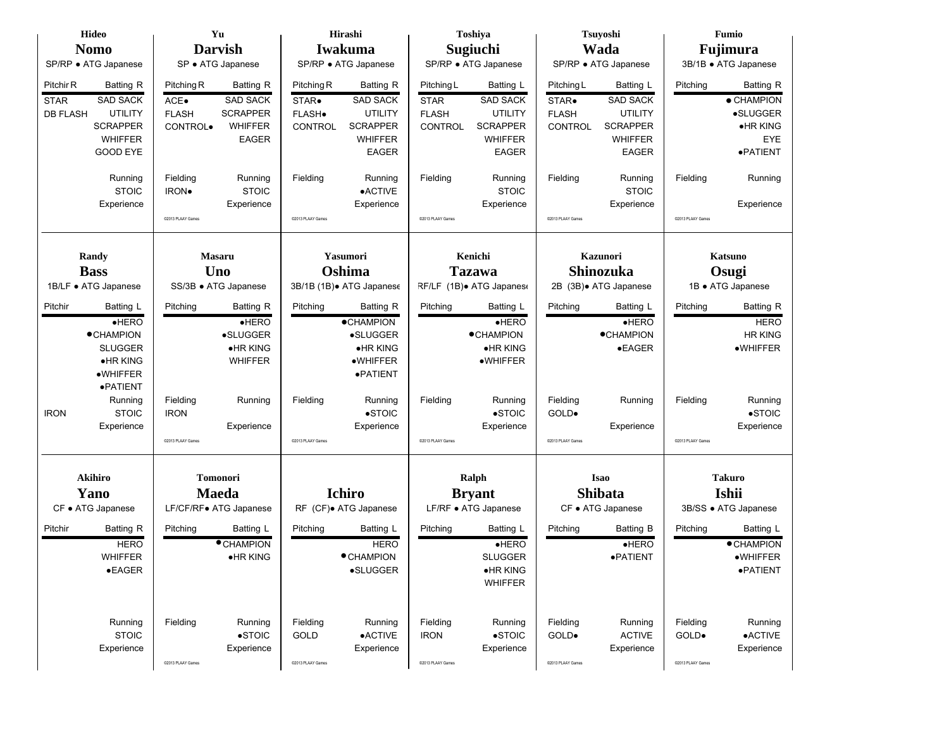| Hideo                                                    | Yu                                                          | Hirashi                                             | Toshiya                                                   | Tsuyoshi                                            | Fumio                                      |  |  |
|----------------------------------------------------------|-------------------------------------------------------------|-----------------------------------------------------|-----------------------------------------------------------|-----------------------------------------------------|--------------------------------------------|--|--|
| <b>Nomo</b>                                              | <b>Darvish</b>                                              | Iwakuma                                             | Sugiuchi                                                  | Wada                                                | Fujimura                                   |  |  |
| SP/RP · ATG Japanese                                     | SP · ATG Japanese                                           | SP/RP · ATG Japanese                                | SP/RP · ATG Japanese                                      | SP/RP · ATG Japanese                                | 3B/1B · ATG Japanese                       |  |  |
| Pitchir R<br>Batting R<br><b>SAD SACK</b><br><b>STAR</b> | <b>Batting R</b><br>Pitching R<br><b>SAD SACK</b><br>$ACE-$ | Pitching R<br>Batting R<br><b>SAD SACK</b><br>STAR. | Pitching L<br>Batting L<br><b>SAD SACK</b><br><b>STAR</b> | Pitching L<br>Batting L<br><b>SAD SACK</b><br>STAR. | <b>Batting R</b><br>Pitching<br>• CHAMPION |  |  |
| <b>UTILITY</b><br><b>DB FLASH</b>                        | <b>SCRAPPER</b><br><b>FLASH</b>                             | FLASH.<br><b>UTILITY</b>                            | <b>FLASH</b><br><b>UTILITY</b>                            | <b>UTILITY</b><br><b>FLASH</b>                      | •SLUGGER                                   |  |  |
| <b>SCRAPPER</b>                                          | <b>WHIFFER</b><br>CONTROL.                                  | <b>SCRAPPER</b><br><b>CONTROL</b>                   | <b>SCRAPPER</b><br><b>CONTROL</b>                         | <b>SCRAPPER</b><br><b>CONTROL</b>                   | $\bullet$ HR KING                          |  |  |
| <b>WHIFFER</b>                                           | <b>EAGER</b>                                                | <b>WHIFFER</b>                                      | <b>WHIFFER</b>                                            | <b>WHIFFER</b>                                      | EYE                                        |  |  |
| <b>GOOD EYE</b>                                          |                                                             | <b>EAGER</b>                                        | <b>EAGER</b>                                              | <b>EAGER</b>                                        | ·PATIENT                                   |  |  |
| Running<br><b>STOIC</b>                                  | Fielding<br>Running<br><b>STOIC</b><br><b>IRON</b> .        | Fielding<br>Running<br>$\bullet$ ACTIVE             | Fielding<br>Running<br><b>STOIC</b>                       | Fielding<br>Running<br><b>STOIC</b>                 | Fielding<br>Running                        |  |  |
| Experience                                               | Experience                                                  | Experience                                          | Experience                                                | Experience                                          | Experience                                 |  |  |
|                                                          | @2013 PLAAY Games                                           | @2013 PLAAY Games                                   | @2013 PLAAY Games                                         | @2013 PLAAY Games                                   | @2013 PLAAY Games                          |  |  |
|                                                          |                                                             |                                                     |                                                           |                                                     |                                            |  |  |
| Randy                                                    | <b>Masaru</b>                                               | Yasumori                                            | Kenichi                                                   | Kazunori                                            | Katsuno                                    |  |  |
| <b>Bass</b>                                              | Uno                                                         | Oshima                                              | <b>Tazawa</b>                                             | <b>Shinozuka</b>                                    | Osugi                                      |  |  |
| 1B/LF · ATG Japanese                                     | SS/3B · ATG Japanese                                        | 3B/1B (1B) • ATG Japanese                           | RF/LF (1B). ATG Japanes                                   | 2B (3B) + ATG Japanese                              | 1B • ATG Japanese                          |  |  |
| Pitchir<br>Batting L                                     | Pitching<br>Batting R                                       | Pitching<br><b>Batting R</b>                        | Pitching<br>Batting L                                     | Pitching<br>Batting L                               | <b>Batting R</b><br>Pitching               |  |  |
| HERO                                                     | HERO                                                        | <b>•CHAMPION</b>                                    | HERO                                                      | HERO                                                | <b>HERO</b>                                |  |  |
| <b>•CHAMPION</b>                                         | <b>•SLUGGER</b>                                             | •SLUGGER                                            | <b>•CHAMPION</b>                                          | <b>•CHAMPION</b>                                    | <b>HR KING</b>                             |  |  |
| <b>SLUGGER</b>                                           | <b>•HR KING</b>                                             | •HR KING                                            | •HR KING                                                  | $\bullet$ EAGER                                     | •WHIFFER                                   |  |  |
| $\bullet$ HR KING                                        | <b>WHIFFER</b>                                              | ·WHIFFER                                            | ·WHIFFER                                                  |                                                     |                                            |  |  |
| •WHIFFER                                                 |                                                             | ·PATIENT                                            |                                                           |                                                     |                                            |  |  |
| ·PATIENT<br>Running                                      | Fielding<br>Running                                         | Running<br>Fielding                                 | Fielding<br>Running                                       | Fielding<br>Running                                 | Running<br>Fielding                        |  |  |
| <b>STOIC</b><br><b>IRON</b>                              | <b>IRON</b>                                                 | $\bullet$ STOIC                                     | $\bullet$ STOIC                                           | GOLD.                                               | $\bullet$ STOIC                            |  |  |
| Experience                                               | Experience                                                  | Experience                                          | Experience                                                | Experience                                          | Experience                                 |  |  |
|                                                          | @2013 PLAAY Games                                           | @2013 PLAAY Games                                   | @2013 PLAAY Games                                         | @2013 PLAAY Games                                   | @2013 PLAAY Games                          |  |  |
|                                                          |                                                             |                                                     |                                                           |                                                     |                                            |  |  |
| Akihiro                                                  | <b>Tomonori</b>                                             |                                                     | Ralph                                                     | <b>Isao</b>                                         | <b>Takuro</b>                              |  |  |
| Yano                                                     | <b>Maeda</b>                                                | <b>Ichiro</b>                                       | <b>Bryant</b>                                             | <b>Shibata</b>                                      | Ishii                                      |  |  |
| CF • ATG Japanese                                        | LF/CF/RF● ATG Japanese                                      | RF (CF). ATG Japanese                               | LF/RF · ATG Japanese                                      | CF • ATG Japanese                                   | 3B/SS · ATG Japanese                       |  |  |
| Pitchir<br><b>Batting R</b>                              | Pitching<br>Batting L                                       | Pitching<br>Batting L                               | Pitching<br><b>Batting L</b>                              | Pitching<br><b>Batting B</b>                        | Batting L<br>Pitching                      |  |  |
| <b>HERO</b>                                              | <b>• CHAMPION</b>                                           | <b>HERO</b>                                         | HERO                                                      | $e$ HERO                                            | <b>• CHAMPION</b>                          |  |  |
| <b>WHIFFER</b>                                           | •HR KING                                                    | • CHAMPION                                          | <b>SLUGGER</b>                                            | ·PATIENT                                            | •WHIFFER                                   |  |  |
| $\bullet$ EAGER                                          |                                                             | •SLUGGER                                            | ·HR KING                                                  |                                                     | ·PATIENT                                   |  |  |
|                                                          |                                                             |                                                     | <b>WHIFFER</b>                                            |                                                     |                                            |  |  |
|                                                          |                                                             |                                                     |                                                           |                                                     |                                            |  |  |
| Running                                                  | Fielding<br>Running                                         | Fielding<br>Running                                 | Fielding<br>Running                                       | Fielding<br>Running                                 | Fielding<br>Running                        |  |  |
| <b>STOIC</b>                                             | $\bullet$ STOIC                                             | GOLD<br>$\bullet$ ACTIVE                            | $\bullet$ STOIC<br><b>IRON</b>                            | GOLD.<br><b>ACTIVE</b>                              | $\bullet$ ACTIVE<br>GOLD.                  |  |  |
| Experience                                               | Experience                                                  | Experience                                          | Experience                                                | Experience                                          | Experience                                 |  |  |
|                                                          | @2013 PLAAY Games                                           | @2013 PLAAY Games                                   | @2013 PLAAY Games                                         | @2013 PLAAY Games                                   | @2013 PLAAY Games                          |  |  |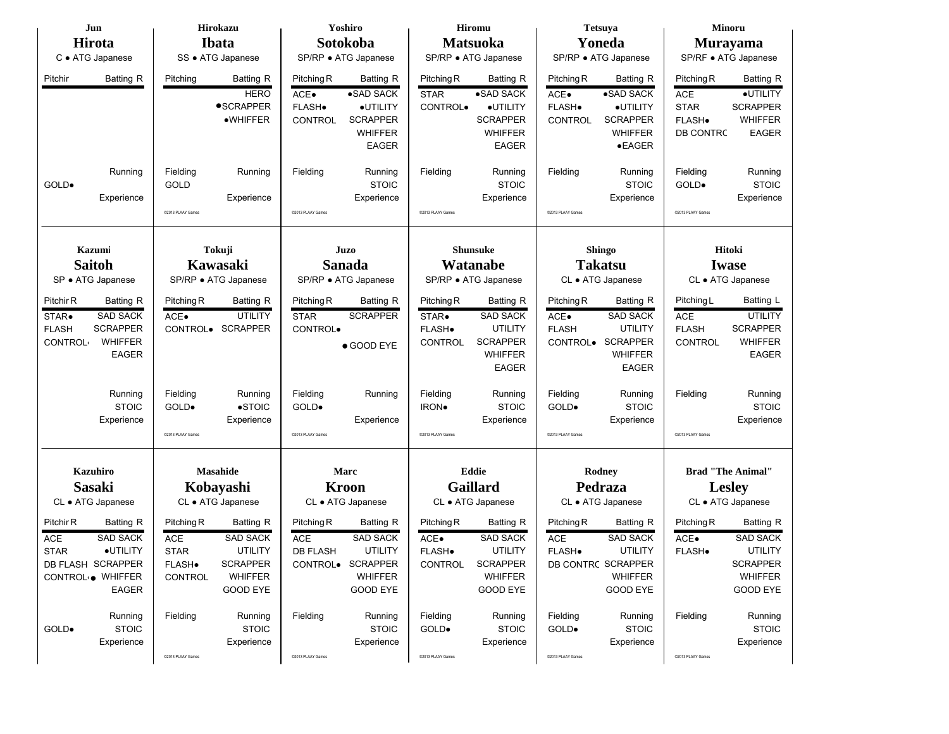| Jun               |                  |                      | <b>Hirokazu</b>          |                    | Yoshiro                |                           | <b>Hiromu</b>          |                    | <b>Tetsuya</b>         |                          | <b>Minoru</b>                |  |
|-------------------|------------------|----------------------|--------------------------|--------------------|------------------------|---------------------------|------------------------|--------------------|------------------------|--------------------------|------------------------------|--|
| Hirota            |                  |                      | <b>Ibata</b>             |                    | Sotokoba               |                           | <b>Matsuoka</b>        |                    | Yoneda                 |                          | <b>Murayama</b>              |  |
| C · ATG Japanese  |                  |                      | SS · ATG Japanese        |                    | SP/RP • ATG Japanese   |                           | SP/RP · ATG Japanese   |                    | SP/RP · ATG Japanese   |                          | SP/RF • ATG Japanese         |  |
| Pitchir           | Batting R        | Pitching             | Batting R<br><b>HERO</b> | Pitching R<br>ACE. | Batting R<br>•SAD SACK | Pitching R<br><b>STAR</b> | Batting R<br>•SAD SACK | Pitching R<br>ACE. | Batting R<br>•SAD SACK | Pitching R<br><b>ACE</b> | Batting R<br><b>•UTILITY</b> |  |
|                   |                  |                      | <b>•SCRAPPER</b>         | FLASH.             | ·UTILITY               | CONTROL.                  | ·UTILITY               | FLASH.             | ·UTILITY               | <b>STAR</b>              | <b>SCRAPPER</b>              |  |
|                   |                  |                      | •WHIFFER                 | <b>CONTROL</b>     | <b>SCRAPPER</b>        |                           | <b>SCRAPPER</b>        | <b>CONTROL</b>     | <b>SCRAPPER</b>        | FLASH.                   | <b>WHIFFER</b>               |  |
|                   |                  |                      |                          |                    | <b>WHIFFER</b>         |                           | <b>WHIFFER</b>         |                    | <b>WHIFFER</b>         | DB CONTRC                | <b>EAGER</b>                 |  |
|                   |                  |                      |                          |                    | <b>EAGER</b>           |                           | <b>EAGER</b>           |                    | $\bullet$ EAGER        |                          |                              |  |
|                   | Running          | Fielding             | Running                  | Fielding           | Running                | Fielding                  | Running                | Fielding           | Running                | Fielding                 | Running                      |  |
| GOLD.             |                  | GOLD                 |                          |                    | <b>STOIC</b>           |                           | <b>STOIC</b>           |                    | <b>STOIC</b>           | GOLD.                    | <b>STOIC</b>                 |  |
|                   | Experience       |                      | Experience               |                    | Experience             |                           | Experience             |                    | Experience             |                          | Experience                   |  |
|                   |                  | @2013 PLAAY Games    |                          | @2013 PLAAY Games  |                        | @2013 PLAAY Games         |                        | @2013 PLAAY Games  |                        | @2013 PLAAY Games        |                              |  |
|                   |                  |                      |                          |                    |                        |                           |                        |                    |                        |                          |                              |  |
| Kazumi            |                  |                      | Tokuji                   |                    | Juzo                   |                           | <b>Shunsuke</b>        |                    | <b>Shingo</b>          |                          | Hitoki                       |  |
| <b>Saitoh</b>     |                  |                      | Kawasaki                 |                    | <b>Sanada</b>          |                           | Watanabe               |                    | <b>Takatsu</b>         | <b>Iwase</b>             |                              |  |
| SP · ATG Japanese |                  | SP/RP · ATG Japanese |                          |                    | SP/RP · ATG Japanese   |                           | SP/RP · ATG Japanese   |                    | CL • ATG Japanese      | CL • ATG Japanese        |                              |  |
| Pitchir R         | Batting R        | Pitching R           | Batting R                | Pitching R         | Batting R              | Pitching R                | Batting R              | Pitching R         | Batting R              | Pitching L               | Batting L                    |  |
| STAR.             | <b>SAD SACK</b>  | ACE.                 | <b>UTILITY</b>           | <b>STAR</b>        | <b>SCRAPPER</b>        | STAR.                     | <b>SAD SACK</b>        | ACE.               | <b>SAD SACK</b>        | ACE                      | <b>UTILITY</b>               |  |
| <b>FLASH</b>      | <b>SCRAPPER</b>  |                      | CONTROL. SCRAPPER        | CONTROL.           |                        | FLASH.                    | <b>UTILITY</b>         | <b>FLASH</b>       | <b>UTILITY</b>         | <b>FLASH</b>             | <b>SCRAPPER</b>              |  |
| <b>CONTROL</b>    | WHIFFER          |                      |                          |                    | ● GOOD EYE             | <b>CONTROL</b>            | <b>SCRAPPER</b>        | CONTROL.           | <b>SCRAPPER</b>        | <b>CONTROL</b>           | <b>WHIFFER</b>               |  |
|                   | <b>EAGER</b>     |                      |                          |                    |                        |                           | <b>WHIFFER</b>         |                    | <b>WHIFFER</b>         |                          | <b>EAGER</b>                 |  |
|                   |                  |                      |                          |                    |                        |                           | <b>EAGER</b>           |                    | <b>EAGER</b>           |                          |                              |  |
|                   | Running          | Fielding             | Running                  | Fielding           | Running                | Fielding                  | Running                | Fielding           | Running                | Fielding                 | Running                      |  |
|                   | <b>STOIC</b>     | GOLD.                | $\bullet$ STOIC          | GOLD.              |                        | <b>IRON</b>               | <b>STOIC</b>           | GOLD.              | <b>STOIC</b>           |                          | <b>STOIC</b>                 |  |
|                   | Experience       |                      | Experience               |                    | Experience             |                           | Experience             |                    | Experience             |                          | Experience                   |  |
|                   |                  | @2013 PLAAY Games    |                          | @2013 PLAAY Games  |                        | @2013 PLAAY Games         |                        | @2013 PLAAY Games  |                        | @2013 PLAAY Games        |                              |  |
|                   |                  |                      |                          |                    |                        |                           |                        |                    |                        |                          |                              |  |
| <b>Kazuhiro</b>   |                  |                      | Masahide                 |                    | Marc                   |                           | <b>Eddie</b>           |                    | Rodney                 |                          | <b>Brad "The Animal"</b>     |  |
| <b>Sasaki</b>     |                  |                      | Kobayashi                |                    | <b>Kroon</b>           |                           | <b>Gaillard</b>        |                    | Pedraza                |                          | <b>Lesley</b>                |  |
| CL · ATG Japanese |                  |                      | CL • ATG Japanese        |                    | CL • ATG Japanese      |                           | CL • ATG Japanese      |                    | CL • ATG Japanese      |                          | CL • ATG Japanese            |  |
| Pitchir R         | <b>Batting R</b> | Pitching R           | Batting R                | Pitching R         | <b>Batting R</b>       | Pitching R                | <b>Batting R</b>       | Pitching R         | Batting R              | Pitching R               | Batting R                    |  |
| <b>ACE</b>        | <b>SAD SACK</b>  | <b>ACE</b>           | <b>SAD SACK</b>          | <b>ACE</b>         | <b>SAD SACK</b>        | ACE.                      | <b>SAD SACK</b>        | <b>ACE</b>         | <b>SAD SACK</b>        | ACE.                     | <b>SAD SACK</b>              |  |
| <b>STAR</b>       | ·UTILITY         | <b>STAR</b>          | <b>UTILITY</b>           | <b>DB FLASH</b>    | UTILITY                | FLASH.                    | <b>UTILITY</b>         | FLASH.             | UTILITY                | FLASH.                   | <b>UTILITY</b>               |  |
| DB FLASH SCRAPPER |                  | FLASH.               | <b>SCRAPPER</b>          |                    | CONTROL. SCRAPPER      | <b>CONTROL</b>            | <b>SCRAPPER</b>        |                    | DB CONTRC SCRAPPER     |                          | <b>SCRAPPER</b>              |  |
| CONTROL . WHIFFER |                  | CONTROL              | <b>WHIFFER</b>           |                    | <b>WHIFFER</b>         |                           | <b>WHIFFER</b>         |                    | <b>WHIFFER</b>         |                          | <b>WHIFFER</b>               |  |
|                   | EAGER            |                      | <b>GOOD EYE</b>          |                    | <b>GOOD EYE</b>        |                           | <b>GOOD EYE</b>        |                    | <b>GOOD EYE</b>        |                          | GOOD EYE                     |  |
|                   | Running          | Fielding             | Running                  | Fielding           | Running                | Fielding                  | Running                | Fielding           | Running                | Fielding                 | Running                      |  |
| GOLD.             | <b>STOIC</b>     |                      | <b>STOIC</b>             |                    | <b>STOIC</b>           | GOLD.                     | <b>STOIC</b>           | GOLD.              | <b>STOIC</b>           |                          | <b>STOIC</b>                 |  |
|                   | Experience       |                      | Experience               |                    | Experience             |                           | Experience             |                    | Experience             |                          | Experience                   |  |
|                   |                  | @2013 PLAAY Games    |                          | @2013 PLAAY Games  |                        | @2013 PLAAY Games         |                        | @2013 PLAAY Games  |                        | @2013 PLAAY Games        |                              |  |